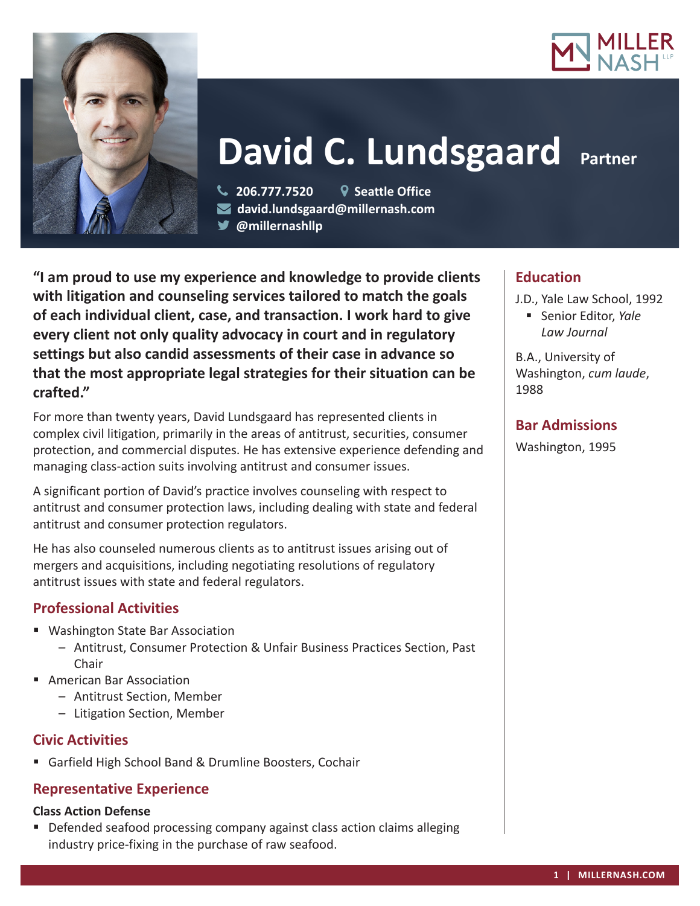



# **David C. Lundsgaard Partner**

 **206.777.7520 Seattle Office david.lundsgaard@millernash.com @millernashllp** 

**"I am proud to use my experience and knowledge to provide clients with litigation and counseling services tailored to match the goals of each individual client, case, and transaction. I work hard to give every client not only quality advocacy in court and in regulatory settings but also candid assessments of their case in advance so that the most appropriate legal strategies for their situation can be crafted."**

For more than twenty years, David Lundsgaard has represented clients in complex civil litigation, primarily in the areas of antitrust, securities, consumer protection, and commercial disputes. He has extensive experience defending and managing class-action suits involving antitrust and consumer issues.

A significant portion of David's practice involves counseling with respect to antitrust and consumer protection laws, including dealing with state and federal antitrust and consumer protection regulators.

He has also counseled numerous clients as to antitrust issues arising out of mergers and acquisitions, including negotiating resolutions of regulatory antitrust issues with state and federal regulators.

## **Professional Activities**

- Washington State Bar Association
	- Antitrust, Consumer Protection & Unfair Business Practices Section, Past Chair
- American Bar Association
	- Antitrust Section, Member
	- Litigation Section, Member

## **Civic Activities**

Garfield High School Band & Drumline Boosters, Cochair

## **Representative Experience**

#### **Class Action Defense**

■ Defended seafood processing company against class action claims alleging industry price-fixing in the purchase of raw seafood.

# **Education**

J.D., Yale Law School, 1992 Senior Editor, *Yale Law Journal*

B.A., University of Washington, *cum laude*, 1988

# **Bar Admissions**

Washington, 1995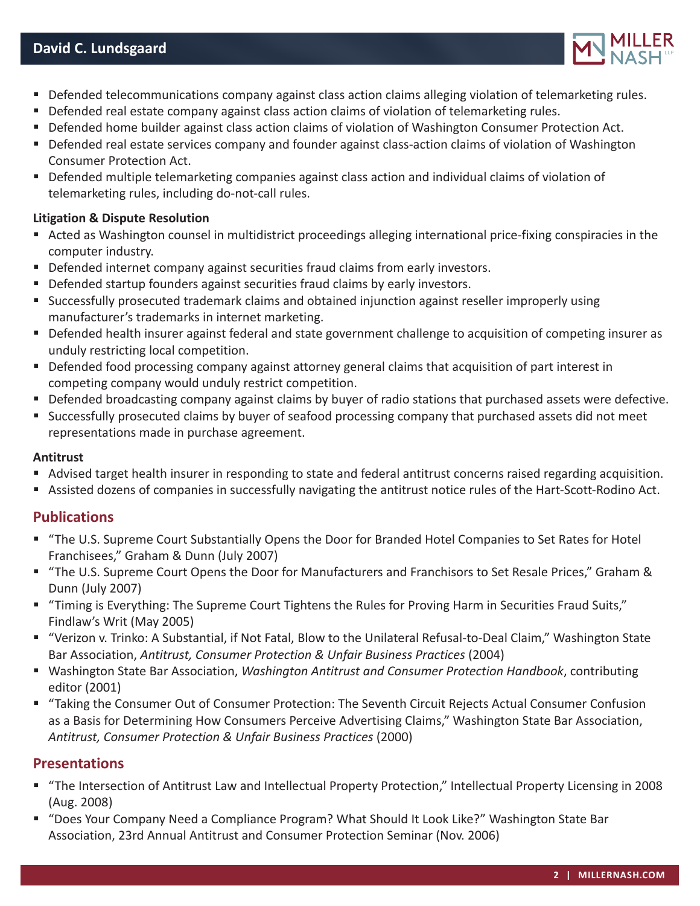

- **Defended telecommunications company against class action claims alleging violation of telemarketing rules.**
- **Defended real estate company against class action claims of violation of telemarketing rules.**
- Defended home builder against class action claims of violation of Washington Consumer Protection Act.
- **Defended real estate services company and founder against class-action claims of violation of Washington** Consumer Protection Act.
- Defended multiple telemarketing companies against class action and individual claims of violation of telemarketing rules, including do-not-call rules.

#### **Litigation & Dispute Resolution**

- Acted as Washington counsel in multidistrict proceedings alleging international price-fixing conspiracies in the computer industry.
- Defended internet company against securities fraud claims from early investors.
- **Defended startup founders against securities fraud claims by early investors.**
- Successfully prosecuted trademark claims and obtained injunction against reseller improperly using manufacturer's trademarks in internet marketing.
- Defended health insurer against federal and state government challenge to acquisition of competing insurer as unduly restricting local competition.
- Defended food processing company against attorney general claims that acquisition of part interest in competing company would unduly restrict competition.
- Defended broadcasting company against claims by buyer of radio stations that purchased assets were defective.
- Successfully prosecuted claims by buyer of seafood processing company that purchased assets did not meet representations made in purchase agreement.

#### **Antitrust**

- Advised target health insurer in responding to state and federal antitrust concerns raised regarding acquisition.
- Assisted dozens of companies in successfully navigating the antitrust notice rules of the Hart-Scott-Rodino Act.

#### **Publications**

- "The U.S. Supreme Court Substantially Opens the Door for Branded Hotel Companies to Set Rates for Hotel Franchisees," Graham & Dunn (July 2007)
- "The U.S. Supreme Court Opens the Door for Manufacturers and Franchisors to Set Resale Prices," Graham & Dunn (July 2007)
- "Timing is Everything: The Supreme Court Tightens the Rules for Proving Harm in Securities Fraud Suits," Findlaw's Writ (May 2005)
- "Verizon v. Trinko: A Substantial, if Not Fatal, Blow to the Unilateral Refusal-to-Deal Claim," Washington State Bar Association, *Antitrust, Consumer Protection & Unfair Business Practices* (2004)
- Washington State Bar Association, *Washington Antitrust and Consumer Protection Handbook*, contributing editor (2001)
- "Taking the Consumer Out of Consumer Protection: The Seventh Circuit Rejects Actual Consumer Confusion as a Basis for Determining How Consumers Perceive Advertising Claims," Washington State Bar Association, *Antitrust, Consumer Protection & Unfair Business Practices* (2000)

#### **Presentations**

- "The Intersection of Antitrust Law and Intellectual Property Protection," Intellectual Property Licensing in 2008 (Aug. 2008)
- "Does Your Company Need a Compliance Program? What Should It Look Like?" Washington State Bar Association, 23rd Annual Antitrust and Consumer Protection Seminar (Nov. 2006)